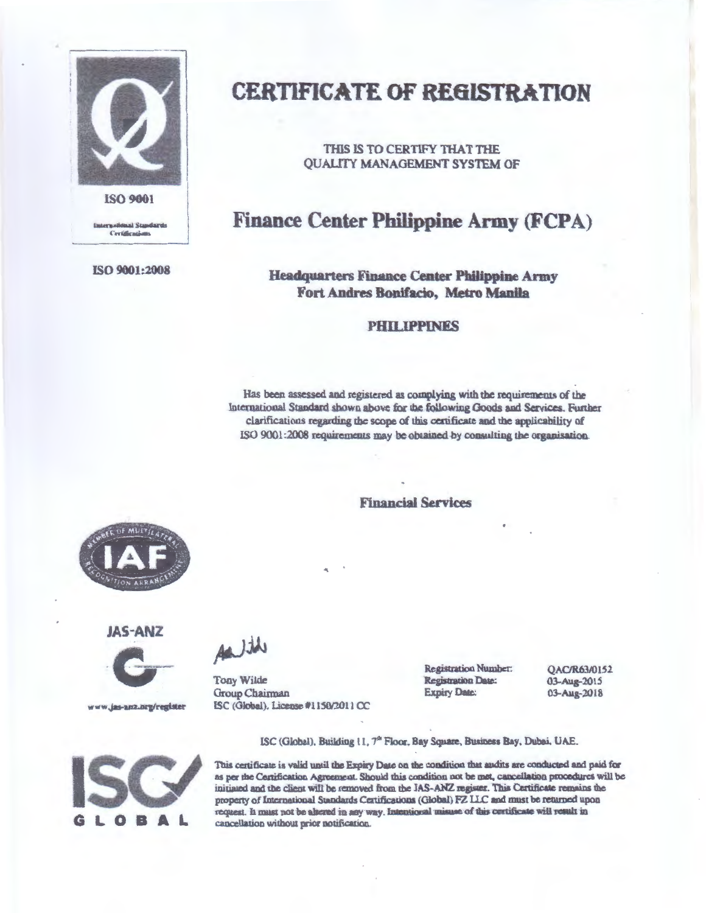

**international Standards** Certifications

ISO 9001:2008

## CERTIFICATE OF RE61STRA TION

THIS IS TO CERTIFY THAT THE QUALITY MANAGEMENT SYSTEM OF

### Finance Center Philippine Army (FCPA)

#### Headquarters Finance Center Philippine Army Fort Andres Bonifacio, Metro Manila

#### PHILIPPINES

Has been assessed and registered as complying with the requirements of the International Standard shown above for the following Goods and Services. Further clarifications regarding the scope of this certificate and the applicability of ISO 9001:2008 requirements may be obtained by consulting the organisation.

Financial Services



JAS-ANZ



www.jas-amz.org/register



Tony Wilde Group Chairman ISC (Global), License #ll50t2011 CC Registration Number: **Registration Date:** Expiry Dale:

QAC/R63/0152 03-Aug-2015 03-Aug-2018



ISC (Global), Building 11, 7<sup>th</sup> Floor, Bay Square, Business Bay, Dubai, UAE.

This certificate is valid until the Expiry Date on the condition that audits are conducted and paid for as per the Certification Agreement. Should this condition not be met, cancellation procedures will be initiated and the client will be removed from the JAS-ANZ register. This Certificate remains the property of International Standards Certifications (Global) FZ LLC and must be returned upon request. It must not be altered in any way. Intentional misuse of this certificate will result in cancellation without prior notification.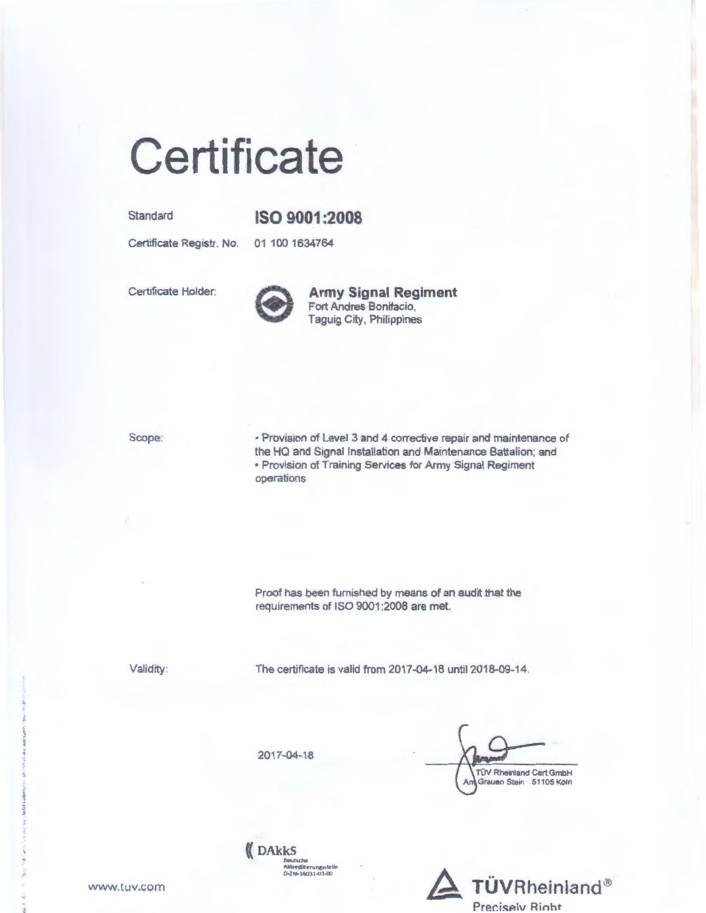# Certificate

Standard

#### ISO 9001:2008

Certificate Registr. No.

01 100 1634764

Certificate Holder:



**Army Signal Regiment** Fort Andres Bonifacio, Taguig City, Philippines

Scope:

· Provision of Level 3 and 4 corrective repair and maintenance of the HQ and Signal Installation and Maintenance Battalion; and . Provision of Training Services for Army Signal Regiment operations

Proof has been furnished by means of an audit that the requirements of ISO 9001:2008 are met.

Validity:

The certificate is valid from 2017-04-18 until 2018-09-14.

2017-04-18

**DAKKS** 

Dautscha<br>Akkreditierungsstelle<br>D-ZM-16031-01-00

**TÜV Rheinland Cert GmbH** A Grauen Stein 51105 Köln



www.tuv.com